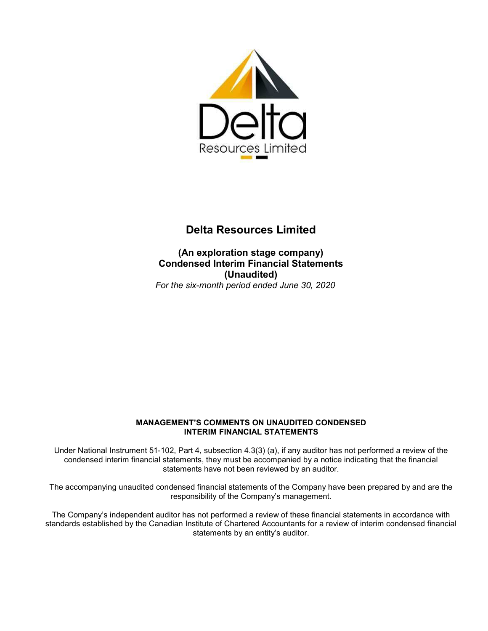

**(An exploration stage company) Condensed Interim Financial Statements (Unaudited)**  *For the six-month period ended June 30, 2020* 

#### **MANAGEMENT'S COMMENTS ON UNAUDITED CONDENSED INTERIM FINANCIAL STATEMENTS**

Under National Instrument 51-102, Part 4, subsection 4.3(3) (a), if any auditor has not performed a review of the condensed interim financial statements, they must be accompanied by a notice indicating that the financial statements have not been reviewed by an auditor.

The accompanying unaudited condensed financial statements of the Company have been prepared by and are the responsibility of the Company's management.

The Company's independent auditor has not performed a review of these financial statements in accordance with standards established by the Canadian Institute of Chartered Accountants for a review of interim condensed financial statements by an entity's auditor.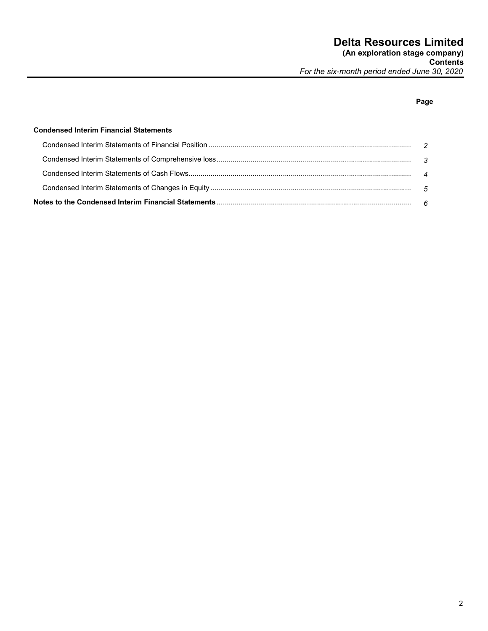# **Page**

#### **Condensed Interim Financial Statements**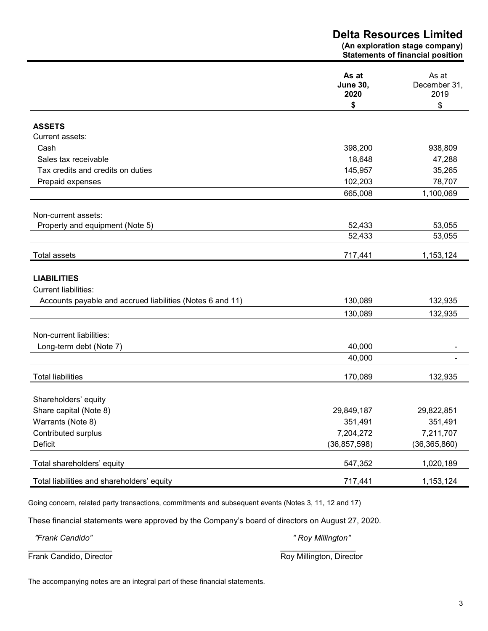|                                                           | <b>Delta Resources Limited</b><br>(An exploration stage company)<br><b>Statements of financial position</b> |                                     |
|-----------------------------------------------------------|-------------------------------------------------------------------------------------------------------------|-------------------------------------|
|                                                           | As at<br><b>June 30,</b><br>2020<br>\$                                                                      | As at<br>December 31,<br>2019<br>\$ |
| <b>ASSETS</b>                                             |                                                                                                             |                                     |
| Current assets:                                           |                                                                                                             |                                     |
| Cash                                                      | 398,200                                                                                                     | 938,809                             |
| Sales tax receivable                                      | 18,648                                                                                                      | 47,288                              |
| Tax credits and credits on duties                         | 145,957                                                                                                     | 35,265                              |
| Prepaid expenses                                          | 102,203                                                                                                     | 78,707                              |
|                                                           | 665,008                                                                                                     | 1,100,069                           |
| Non-current assets:                                       |                                                                                                             |                                     |
| Property and equipment (Note 5)                           | 52,433                                                                                                      | 53,055                              |
|                                                           | 52,433                                                                                                      | 53,055                              |
| <b>Total assets</b>                                       | 717,441                                                                                                     | 1,153,124                           |
| <b>LIABILITIES</b>                                        |                                                                                                             |                                     |
| <b>Current liabilities:</b>                               |                                                                                                             |                                     |
| Accounts payable and accrued liabilities (Notes 6 and 11) | 130,089                                                                                                     | 132,935                             |
|                                                           | 130,089                                                                                                     | 132,935                             |
|                                                           |                                                                                                             |                                     |
| Non-current liabilities:                                  |                                                                                                             |                                     |
| Long-term debt (Note 7)                                   | 40,000                                                                                                      |                                     |
|                                                           | 40,000                                                                                                      |                                     |
| <b>Total liabilities</b>                                  | 170,089                                                                                                     | 132,935                             |
| Shareholders' equity                                      |                                                                                                             |                                     |
| Share capital (Note 8)                                    | 29,849,187                                                                                                  | 29,822,851                          |
| Warrants (Note 8)                                         | 351,491                                                                                                     | 351,491                             |
| Contributed surplus                                       | 7,204,272                                                                                                   | 7,211,707                           |
| Deficit                                                   | (36, 857, 598)                                                                                              | (36, 365, 860)                      |
| Total shareholders' equity                                | 547,352                                                                                                     | 1,020,189                           |
| Total liabilities and shareholders' equity                | 717,441                                                                                                     | 1,153,124                           |
|                                                           |                                                                                                             |                                     |

Going concern, related party transactions, commitments and subsequent events (Notes 3, 11, 12 and 17)

These financial statements were approved by the Company's board of directors on August 27, 2020.

*"Frank Candido" " Roy Millington"*  Frank Candido, Director **Roy Millington, Director** Roy Millington, Director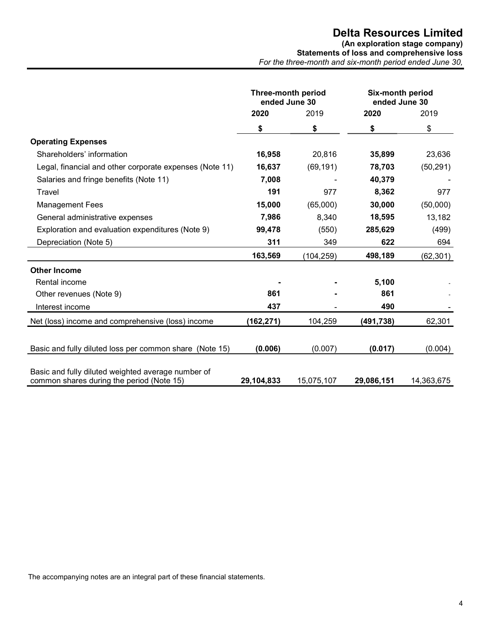**(An exploration stage company) Statements of loss and comprehensive loss** 

*For the three-month and six-month period ended June 30,* 

|                                                         | <b>Three-month period</b><br>ended June 30 |            | Six-month period<br>ended June 30 |            |
|---------------------------------------------------------|--------------------------------------------|------------|-----------------------------------|------------|
|                                                         | 2020                                       | 2019       | 2020                              | 2019       |
|                                                         | \$                                         | \$         | \$                                | \$         |
| <b>Operating Expenses</b>                               |                                            |            |                                   |            |
| Shareholders' information                               | 16,958                                     | 20,816     | 35,899                            | 23,636     |
| Legal, financial and other corporate expenses (Note 11) | 16,637                                     | (69, 191)  | 78,703                            | (50, 291)  |
| Salaries and fringe benefits (Note 11)                  | 7,008                                      |            | 40,379                            |            |
| Travel                                                  | 191                                        | 977        | 8,362                             | 977        |
| <b>Management Fees</b>                                  | 15,000                                     | (65,000)   | 30,000                            | (50,000)   |
| General administrative expenses                         | 7,986                                      | 8,340      | 18,595                            | 13,182     |
| Exploration and evaluation expenditures (Note 9)        | 99,478                                     | (550)      | 285,629                           | (499)      |
| Depreciation (Note 5)                                   | 311                                        | 349        | 622                               | 694        |
|                                                         | 163,569                                    | (104, 259) | 498,189                           | (62, 301)  |
| <b>Other Income</b>                                     |                                            |            |                                   |            |
| Rental income                                           |                                            |            | 5,100                             |            |
| Other revenues (Note 9)                                 | 861                                        |            | 861                               |            |
| Interest income                                         | 437                                        |            | 490                               |            |
| Net (loss) income and comprehensive (loss) income       | (162,271)                                  | 104,259    | (491, 738)                        | 62,301     |
|                                                         |                                            |            |                                   |            |
| Basic and fully diluted loss per common share (Note 15) | (0.006)                                    | (0.007)    | (0.017)                           | (0.004)    |
| Basic and fully diluted weighted average number of      |                                            |            |                                   |            |
| common shares during the period (Note 15)               | 29,104,833                                 | 15,075,107 | 29,086,151                        | 14,363,675 |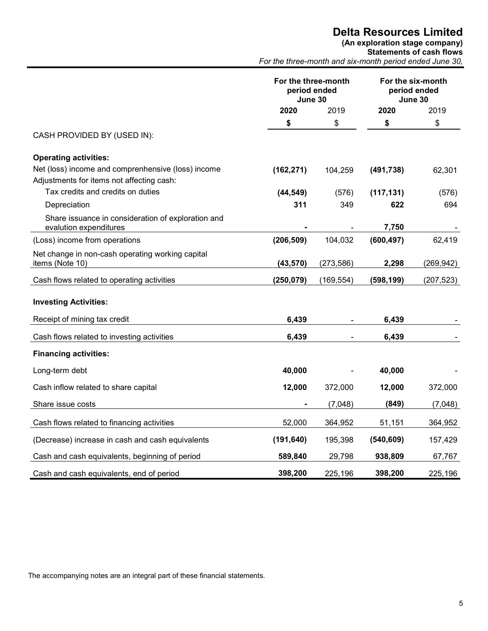**(An exploration stage company)** 

**Statements of cash flows** 

*For the three-month and six-month period ended June 30,* 

|                                                                              | For the three-month<br>period ended<br>June 30 |            |            | For the six-month<br>period ended<br>June 30 |  |
|------------------------------------------------------------------------------|------------------------------------------------|------------|------------|----------------------------------------------|--|
|                                                                              | 2020                                           | 2019       | 2020       | 2019                                         |  |
|                                                                              | \$                                             | \$         | \$         | \$                                           |  |
| CASH PROVIDED BY (USED IN):                                                  |                                                |            |            |                                              |  |
| <b>Operating activities:</b>                                                 |                                                |            |            |                                              |  |
| Net (loss) income and comprenhensive (loss) income                           | (162, 271)                                     | 104,259    | (491, 738) | 62,301                                       |  |
| Adjustments for items not affecting cash:                                    |                                                |            |            |                                              |  |
| Tax credits and credits on duties                                            | (44, 549)                                      | (576)      | (117, 131) | (576)                                        |  |
| Depreciation                                                                 | 311                                            | 349        | 622        | 694                                          |  |
| Share issuance in consideration of exploration and<br>evalution expenditures |                                                |            | 7,750      |                                              |  |
| (Loss) income from operations                                                | (206, 509)                                     | 104,032    | (600, 497) | 62,419                                       |  |
| Net change in non-cash operating working capital<br>items (Note 10)          | (43, 570)                                      | (273, 586) | 2,298      | (269, 942)                                   |  |
| Cash flows related to operating activities                                   | (250, 079)                                     | (169, 554) | (598, 199) | (207, 523)                                   |  |
|                                                                              |                                                |            |            |                                              |  |
| <b>Investing Activities:</b>                                                 |                                                |            |            |                                              |  |
| Receipt of mining tax credit                                                 | 6,439                                          |            | 6,439      |                                              |  |
| Cash flows related to investing activities                                   | 6,439                                          |            | 6,439      |                                              |  |
| <b>Financing activities:</b>                                                 |                                                |            |            |                                              |  |
| Long-term debt                                                               | 40,000                                         |            | 40,000     |                                              |  |
| Cash inflow related to share capital                                         | 12,000                                         | 372,000    | 12,000     | 372,000                                      |  |
| Share issue costs                                                            |                                                | (7,048)    | (849)      | (7,048)                                      |  |
| Cash flows related to financing activities                                   | 52,000                                         | 364,952    | 51,151     | 364,952                                      |  |
| (Decrease) increase in cash and cash equivalents                             | (191, 640)                                     | 195,398    | (540, 609) | 157,429                                      |  |
| Cash and cash equivalents, beginning of period                               | 589,840                                        | 29,798     | 938,809    | 67,767                                       |  |
| Cash and cash equivalents, end of period                                     | 398,200                                        | 225,196    | 398,200    | 225,196                                      |  |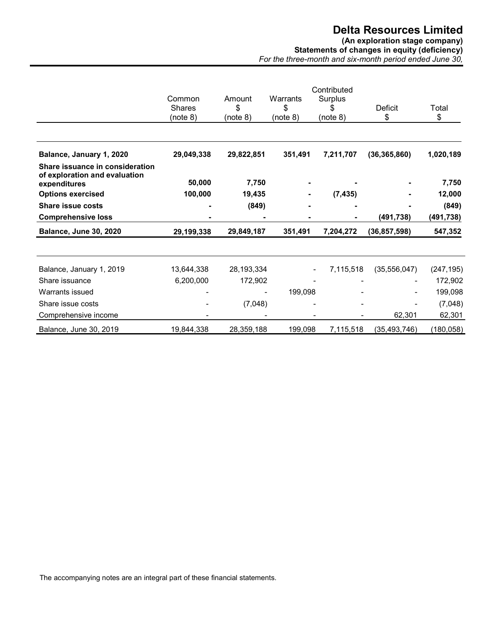# **Delta Resources Limited (An exploration stage company) Statements of changes in equity (deficiency)** *For the three-month and six-month period ended June 30,*

|                                                                                  | Common<br>Shares<br>(note 8) | Amount<br>\$<br>(note 8) | Warrants<br>\$<br>(note 8) | Contributed<br>Surplus<br>(note 8) | Deficit<br>\$  | Total<br>\$ |
|----------------------------------------------------------------------------------|------------------------------|--------------------------|----------------------------|------------------------------------|----------------|-------------|
|                                                                                  |                              |                          |                            |                                    |                |             |
| Balance, January 1, 2020                                                         | 29,049,338                   | 29,822,851               | 351,491                    | 7,211,707                          | (36, 365, 860) | 1,020,189   |
| Share issuance in consideration<br>of exploration and evaluation<br>expenditures | 50,000                       | 7,750                    |                            |                                    |                | 7,750       |
| <b>Options exercised</b>                                                         | 100,000                      | 19,435                   |                            | (7, 435)                           |                | 12,000      |
| <b>Share issue costs</b>                                                         |                              | (849)                    |                            |                                    |                | (849)       |
| <b>Comprehensive loss</b>                                                        |                              |                          |                            |                                    | (491,738)      | (491,738)   |
| <b>Balance, June 30, 2020</b>                                                    | 29,199,338                   | 29,849,187               | 351,491                    | 7,204,272                          | (36, 857, 598) | 547,352     |
| Balance, January 1, 2019                                                         | 13,644,338                   | 28,193,334               | $\overline{\phantom{a}}$   | 7,115,518                          | (35, 556, 047) | (247, 195)  |
| Share issuance                                                                   | 6,200,000                    | 172,902                  |                            |                                    |                | 172,902     |
| Warrants issued                                                                  |                              |                          | 199,098                    |                                    |                | 199,098     |
| Share issue costs                                                                |                              | (7,048)                  |                            |                                    |                | (7,048)     |
| Comprehensive income                                                             |                              |                          |                            |                                    | 62,301         | 62,301      |
| Balance, June 30, 2019                                                           | 19,844,338                   | 28,359,188               | 199,098                    | 7,115,518                          | (35, 493, 746) | (180, 058)  |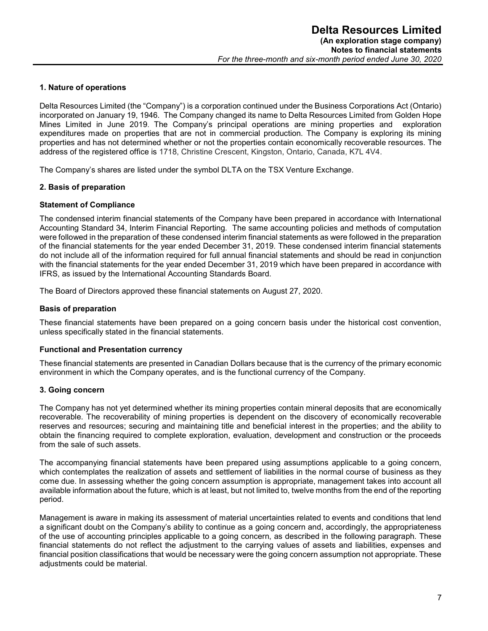# **1. Nature of operations**

Delta Resources Limited (the "Company") is a corporation continued under the Business Corporations Act (Ontario) incorporated on January 19, 1946. The Company changed its name to Delta Resources Limited from Golden Hope Mines Limited in June 2019. The Company's principal operations are mining properties and exploration expenditures made on properties that are not in commercial production. The Company is exploring its mining properties and has not determined whether or not the properties contain economically recoverable resources. The address of the registered office is 1718, Christine Crescent, Kingston, Ontario, Canada, K7L 4V4.

The Company's shares are listed under the symbol DLTA on the TSX Venture Exchange.

#### **2. Basis of preparation**

#### **Statement of Compliance**

The condensed interim financial statements of the Company have been prepared in accordance with International Accounting Standard 34, Interim Financial Reporting. The same accounting policies and methods of computation were followed in the preparation of these condensed interim financial statements as were followed in the preparation of the financial statements for the year ended December 31, 2019. These condensed interim financial statements do not include all of the information required for full annual financial statements and should be read in conjunction with the financial statements for the year ended December 31, 2019 which have been prepared in accordance with IFRS, as issued by the International Accounting Standards Board.

The Board of Directors approved these financial statements on August 27, 2020.

#### **Basis of preparation**

These financial statements have been prepared on a going concern basis under the historical cost convention, unless specifically stated in the financial statements.

#### **Functional and Presentation currency**

These financial statements are presented in Canadian Dollars because that is the currency of the primary economic environment in which the Company operates, and is the functional currency of the Company.

#### **3. Going concern**

The Company has not yet determined whether its mining properties contain mineral deposits that are economically recoverable. The recoverability of mining properties is dependent on the discovery of economically recoverable reserves and resources; securing and maintaining title and beneficial interest in the properties; and the ability to obtain the financing required to complete exploration, evaluation, development and construction or the proceeds from the sale of such assets.

The accompanying financial statements have been prepared using assumptions applicable to a going concern, which contemplates the realization of assets and settlement of liabilities in the normal course of business as they come due. In assessing whether the going concern assumption is appropriate, management takes into account all available information about the future, which is at least, but not limited to, twelve months from the end of the reporting period.

Management is aware in making its assessment of material uncertainties related to events and conditions that lend a significant doubt on the Company's ability to continue as a going concern and, accordingly, the appropriateness of the use of accounting principles applicable to a going concern, as described in the following paragraph. These financial statements do not reflect the adjustment to the carrying values of assets and liabilities, expenses and financial position classifications that would be necessary were the going concern assumption not appropriate. These adiustments could be material.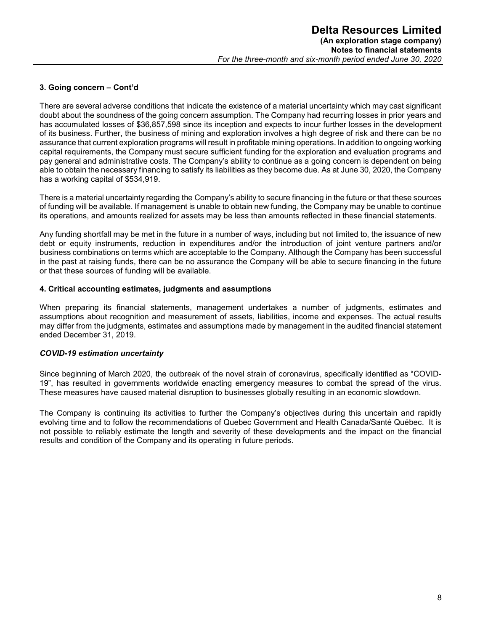# **3. Going concern – Cont'd**

There are several adverse conditions that indicate the existence of a material uncertainty which may cast significant doubt about the soundness of the going concern assumption. The Company had recurring losses in prior years and has accumulated losses of \$36,857,598 since its inception and expects to incur further losses in the development of its business. Further, the business of mining and exploration involves a high degree of risk and there can be no assurance that current exploration programs will result in profitable mining operations. In addition to ongoing working capital requirements, the Company must secure sufficient funding for the exploration and evaluation programs and pay general and administrative costs. The Company's ability to continue as a going concern is dependent on being able to obtain the necessary financing to satisfy its liabilities as they become due. As at June 30, 2020, the Company has a working capital of \$534,919.

There is a material uncertainty regarding the Company's ability to secure financing in the future or that these sources of funding will be available. If management is unable to obtain new funding, the Company may be unable to continue its operations, and amounts realized for assets may be less than amounts reflected in these financial statements.

Any funding shortfall may be met in the future in a number of ways, including but not limited to, the issuance of new debt or equity instruments, reduction in expenditures and/or the introduction of joint venture partners and/or business combinations on terms which are acceptable to the Company. Although the Company has been successful in the past at raising funds, there can be no assurance the Company will be able to secure financing in the future or that these sources of funding will be available.

#### **4. Critical accounting estimates, judgments and assumptions**

When preparing its financial statements, management undertakes a number of judgments, estimates and assumptions about recognition and measurement of assets, liabilities, income and expenses. The actual results may differ from the judgments, estimates and assumptions made by management in the audited financial statement ended December 31, 2019.

#### *COVID-19 estimation uncertainty*

Since beginning of March 2020, the outbreak of the novel strain of coronavirus, specifically identified as "COVID-19", has resulted in governments worldwide enacting emergency measures to combat the spread of the virus. These measures have caused material disruption to businesses globally resulting in an economic slowdown.

The Company is continuing its activities to further the Company's objectives during this uncertain and rapidly evolving time and to follow the recommendations of Quebec Government and Health Canada/Santé Québec. It is not possible to reliably estimate the length and severity of these developments and the impact on the financial results and condition of the Company and its operating in future periods.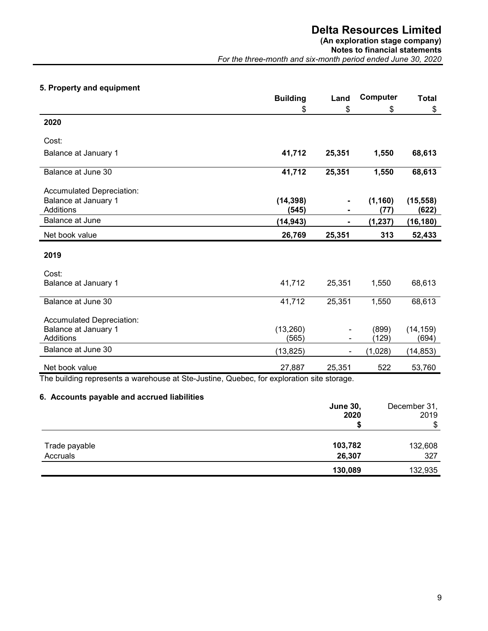# **(An exploration stage company)**

**Notes to financial statements**  *For the three-month and six-month period ended June 30, 2020*

# **5. Property and equipment**

|                                                                                           | <b>Building</b>    | Land   | Computer         | <b>Total</b>       |
|-------------------------------------------------------------------------------------------|--------------------|--------|------------------|--------------------|
|                                                                                           | \$                 | \$     | \$               | \$                 |
| 2020                                                                                      |                    |        |                  |                    |
| Cost:                                                                                     |                    |        |                  |                    |
| Balance at January 1                                                                      | 41,712             | 25,351 | 1,550            | 68,613             |
| Balance at June 30                                                                        | 41,712             | 25,351 | 1,550            | 68,613             |
| Accumulated Depreciation:                                                                 |                    |        |                  |                    |
| Balance at January 1<br>Additions                                                         | (14, 398)<br>(545) |        | (1, 160)<br>(77) | (15, 558)<br>(622) |
| Balance at June                                                                           | (14, 943)          |        | (1, 237)         | (16, 180)          |
| Net book value                                                                            | 26,769             | 25,351 | 313              | 52,433             |
| 2019                                                                                      |                    |        |                  |                    |
| Cost:                                                                                     |                    |        |                  |                    |
| Balance at January 1                                                                      | 41,712             | 25,351 | 1,550            | 68,613             |
| Balance at June 30                                                                        | 41,712             | 25,351 | 1,550            | 68,613             |
| Accumulated Depreciation:                                                                 |                    |        |                  |                    |
| Balance at January 1                                                                      | (13,260)           |        | (899)            | (14, 159)          |
| Additions                                                                                 | (565)              | Ξ.     | (129)            | (694)              |
| Balance at June 30                                                                        | (13, 825)          |        | (1,028)          | (14, 853)          |
| Net book value                                                                            | 27,887             | 25,351 | 522              | 53,760             |
| The building represents a warehouse at Ste-Justine, Quebec, for exploration site storage. |                    |        |                  |                    |

# **6. Accounts payable and accrued liabilities**

| <b>June 30,</b> | December 31,<br>2019 |
|-----------------|----------------------|
|                 | \$                   |
| 103,782         | 132,608              |
| 26,307          | 327                  |
| 130,089         | 132,935              |
|                 | 2020                 |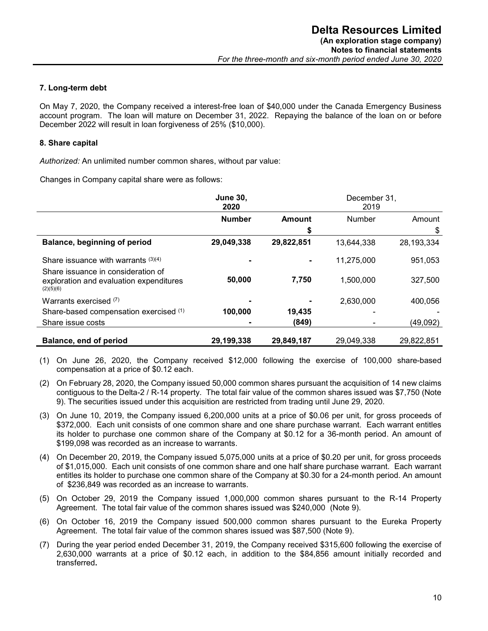# **7. Long-term debt**

On May 7, 2020, the Company received a interest-free loan of \$40,000 under the Canada Emergency Business account program. The loan will mature on December 31, 2022. Repaying the balance of the loan on or before December 2022 will result in loan forgiveness of 25% (\$10,000).

# **8. Share capital**

*Authorized:* An unlimited number common shares, without par value:

Changes in Company capital share were as follows:

|                                                                                            | <b>June 30,</b><br>2020 |            | December 31,<br>2019 |            |
|--------------------------------------------------------------------------------------------|-------------------------|------------|----------------------|------------|
|                                                                                            | <b>Number</b>           | Amount     | Number               | Amount     |
|                                                                                            |                         | S          |                      | \$         |
| Balance, beginning of period                                                               | 29,049,338              | 29,822,851 | 13,644,338           | 28,193,334 |
| Share issuance with warrants $(3)(4)$                                                      |                         | ۰          | 11,275,000           | 951,053    |
| Share issuance in consideration of<br>exploration and evaluation expenditures<br>(2)(5)(6) | 50,000                  | 7,750      | 1,500,000            | 327,500    |
| Warrants exercised $(7)$                                                                   |                         |            | 2,630,000            | 400,056    |
| Share-based compensation exercised (1)                                                     | 100,000                 | 19,435     |                      |            |
| Share issue costs                                                                          |                         | (849)      |                      | (49,092)   |
| Balance, end of period                                                                     | 29,199,338              | 29,849,187 | 29,049,338           | 29,822,851 |

- (1) On June 26, 2020, the Company received \$12,000 following the exercise of 100,000 share-based compensation at a price of \$0.12 each.
- (2) On February 28, 2020, the Company issued 50,000 common shares pursuant the acquisition of 14 new claims contiguous to the Delta-2 / R-14 property. The total fair value of the common shares issued was \$7,750 (Note 9). The securities issued under this acquisition are restricted from trading until June 29, 2020.
- (3) On June 10, 2019, the Company issued 6,200,000 units at a price of \$0.06 per unit, for gross proceeds of \$372,000. Each unit consists of one common share and one share purchase warrant. Each warrant entitles its holder to purchase one common share of the Company at \$0.12 for a 36-month period. An amount of \$199,098 was recorded as an increase to warrants.
- (4) On December 20, 2019, the Company issued 5,075,000 units at a price of \$0.20 per unit, for gross proceeds of \$1,015,000. Each unit consists of one common share and one half share purchase warrant. Each warrant entitles its holder to purchase one common share of the Company at \$0.30 for a 24-month period. An amount of \$236,849 was recorded as an increase to warrants.
- (5) On October 29, 2019 the Company issued 1,000,000 common shares pursuant to the R-14 Property Agreement. The total fair value of the common shares issued was \$240,000 (Note 9).
- (6) On October 16, 2019 the Company issued 500,000 common shares pursuant to the Eureka Property Agreement. The total fair value of the common shares issued was \$87,500 (Note 9).
- (7) During the year period ended December 31, 2019, the Company received \$315,600 following the exercise of 2,630,000 warrants at a price of \$0.12 each, in addition to the \$84,856 amount initially recorded and transferred**.**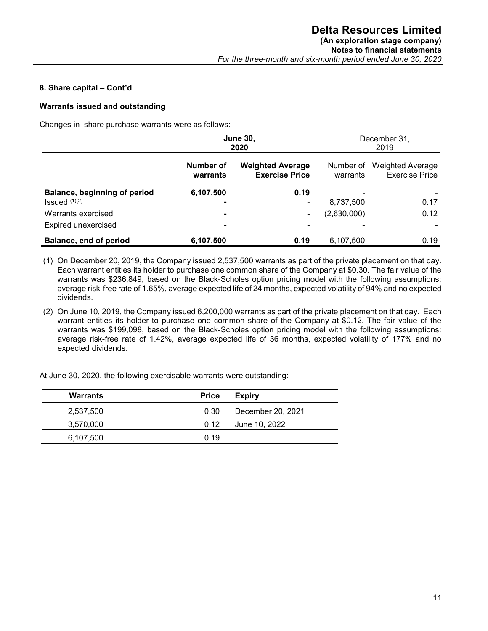# **8. Share capital – Cont'd**

# **Warrants issued and outstanding**

Changes in share purchase warrants were as follows:

|                                                   | <b>June 30,</b><br>2020     |                                                  |                       | December 31,<br>2019                             |
|---------------------------------------------------|-----------------------------|--------------------------------------------------|-----------------------|--------------------------------------------------|
|                                                   | Number of<br>warrants       | <b>Weighted Average</b><br><b>Exercise Price</b> | Number of<br>warrants | <b>Weighted Average</b><br><b>Exercise Price</b> |
| Balance, beginning of period<br>$Issued$ $(1)(2)$ | 6,107,500<br>$\blacksquare$ | 0.19                                             | 8,737,500             | 0.17                                             |
| Warrants exercised                                | $\blacksquare$              | ۰                                                | (2,630,000)           | 0.12                                             |
| Expired unexercised                               | $\blacksquare$              |                                                  | ۰                     |                                                  |
| Balance, end of period                            | 6,107,500                   | 0.19                                             | 6.107.500             | 0.19                                             |

(1) On December 20, 2019, the Company issued 2,537,500 warrants as part of the private placement on that day. Each warrant entitles its holder to purchase one common share of the Company at \$0.30. The fair value of the warrants was \$236,849, based on the Black-Scholes option pricing model with the following assumptions: average risk-free rate of 1.65%, average expected life of 24 months, expected volatility of 94% and no expected dividends.

(2) On June 10, 2019, the Company issued 6,200,000 warrants as part of the private placement on that day. Each warrant entitles its holder to purchase one common share of the Company at \$0.12. The fair value of the warrants was \$199,098, based on the Black-Scholes option pricing model with the following assumptions: average risk-free rate of 1.42%, average expected life of 36 months, expected volatility of 177% and no expected dividends.

At June 30, 2020, the following exercisable warrants were outstanding:

| <b>Warrants</b> | <b>Price</b> | <b>Expiry</b>     |
|-----------------|--------------|-------------------|
| 2,537,500       | 0.30         | December 20, 2021 |
| 3,570,000       | 0.12         | June 10, 2022     |
| 6,107,500       | 0.19         |                   |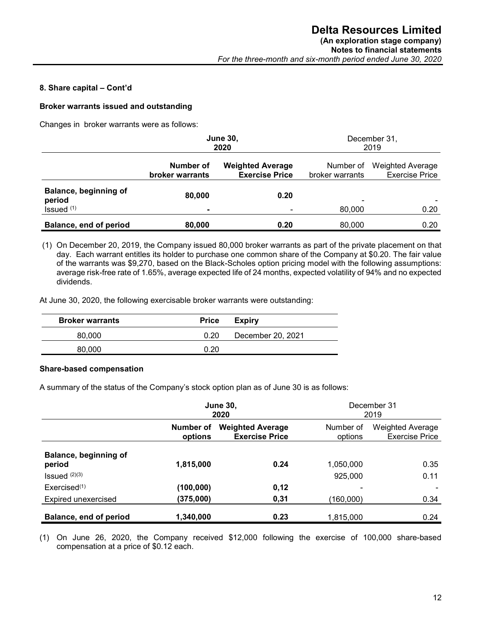#### **8. Share capital – Cont'd**

#### **Broker warrants issued and outstanding**

Changes in broker warrants were as follows:

|                                                           | <b>June 30,</b><br>2020      |                                                  |                              | December 31,<br>2019                             |
|-----------------------------------------------------------|------------------------------|--------------------------------------------------|------------------------------|--------------------------------------------------|
|                                                           | Number of<br>broker warrants | <b>Weighted Average</b><br><b>Exercise Price</b> | Number of<br>broker warrants | <b>Weighted Average</b><br><b>Exercise Price</b> |
| Balance, beginning of<br>period<br>Is sued <sup>(1)</sup> | 80,000<br>$\blacksquare$     | 0.20                                             | 80,000                       | 0.20                                             |
| Balance, end of period                                    | 80,000                       | 0.20                                             | 80,000                       | 0.20                                             |

(1) On December 20, 2019, the Company issued 80,000 broker warrants as part of the private placement on that day. Each warrant entitles its holder to purchase one common share of the Company at \$0.20. The fair value of the warrants was \$9,270, based on the Black-Scholes option pricing model with the following assumptions: average risk-free rate of 1.65%, average expected life of 24 months, expected volatility of 94% and no expected dividends.

At June 30, 2020, the following exercisable broker warrants were outstanding:

| <b>Broker warrants</b> | <b>Price</b> | Expiry            |
|------------------------|--------------|-------------------|
| 80,000                 | 0.20         | December 20, 2021 |
| 80,000                 | በ 20         |                   |

#### **Share-based compensation**

A summary of the status of the Company's stock option plan as of June 30 is as follows:

|                                 | <b>June 30,</b><br>2020 |                                                  | December 31<br>2019  |                                                  |
|---------------------------------|-------------------------|--------------------------------------------------|----------------------|--------------------------------------------------|
|                                 | Number of<br>options    | <b>Weighted Average</b><br><b>Exercise Price</b> | Number of<br>options | <b>Weighted Average</b><br><b>Exercise Price</b> |
| Balance, beginning of<br>period | 1,815,000               | 0.24                                             | 1,050,000            | 0.35                                             |
| Issued $(2)(3)$                 |                         |                                                  | 925,000              | 0.11                                             |
| Exercised <sup>(1)</sup>        | (100, 000)              | 0,12                                             | ۰                    |                                                  |
| Expired unexercised             | (375,000)               | 0,31                                             | (160,000)            | 0.34                                             |
| Balance, end of period          | 1,340,000               | 0.23                                             | 1,815,000            | 0.24                                             |

(1) On June 26, 2020, the Company received \$12,000 following the exercise of 100,000 share-based compensation at a price of \$0.12 each.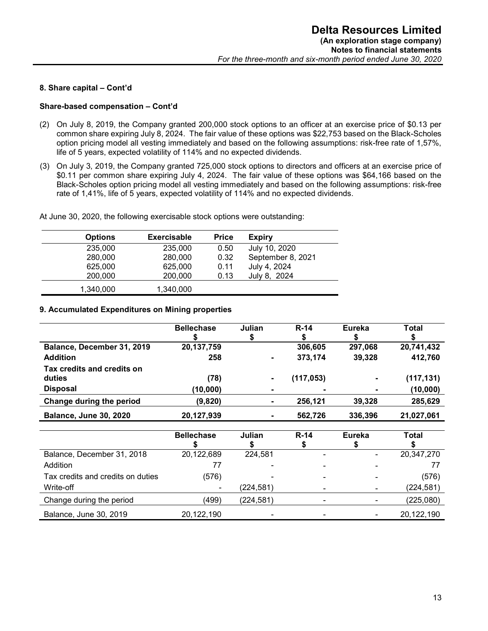#### **8. Share capital – Cont'd**

#### **Share-based compensation – Cont'd**

- (2) On July 8, 2019, the Company granted 200,000 stock options to an officer at an exercise price of \$0.13 per common share expiring July 8, 2024. The fair value of these options was \$22,753 based on the Black-Scholes option pricing model all vesting immediately and based on the following assumptions: risk-free rate of 1,57%, life of 5 years, expected volatility of 114% and no expected dividends.
- (3) On July 3, 2019, the Company granted 725,000 stock options to directors and officers at an exercise price of \$0.11 per common share expiring July 4, 2024. The fair value of these options was \$64,166 based on the Black-Scholes option pricing model all vesting immediately and based on the following assumptions: risk-free rate of 1,41%, life of 5 years, expected volatility of 114% and no expected dividends.

At June 30, 2020, the following exercisable stock options were outstanding:

| <b>Options</b> | <b>Exercisable</b> | <b>Price</b> | Expiry            |
|----------------|--------------------|--------------|-------------------|
| 235,000        | 235,000            | 0.50         | July 10, 2020     |
| 280,000        | 280,000            | 0.32         | September 8, 2021 |
| 625,000        | 625,000            | 0.11         | July 4, 2024      |
| 200,000        | 200,000            | 0.13         | July 8, 2024      |
| 1,340,000      | 1,340,000          |              |                   |

#### **9. Accumulated Expenditures on Mining properties**

|                                      | <b>Bellechase</b> | Julian         | $R-14$     | <b>Eureka</b>  | Total      |
|--------------------------------------|-------------------|----------------|------------|----------------|------------|
| Balance, December 31, 2019           | 20,137,759        |                | 306,605    | 297.068        | 20,741,432 |
| <b>Addition</b>                      | 258               | $\blacksquare$ | 373,174    | 39,328         | 412,760    |
| Tax credits and credits on<br>duties | (78)              |                | (117, 053) | ۰              | (117, 131) |
| <b>Disposal</b>                      | (10,000)          |                | ٠          | $\blacksquare$ | (10,000)   |
| Change during the period             | (9,820)           | ۰              | 256,121    | 39,328         | 285,629    |
| <b>Balance, June 30, 2020</b>        | 20,127,939        | ۰              | 562,726    | 336,396        | 21,027,061 |

|                                   | <b>Bellechase</b> | Julian    | $R-14$         | Eureka | Total      |
|-----------------------------------|-------------------|-----------|----------------|--------|------------|
| Balance, December 31, 2018        | 20,122,689        | 224,581   |                |        | 20,347,270 |
| Addition                          |                   |           | $\blacksquare$ |        |            |
| Tax credits and credits on duties | (576)             |           | -              |        | (576)      |
| Write-off                         |                   | (224,581) | ۰              |        | (224, 581) |
| Change during the period          | (499)             | (224,581) |                |        | (225,080)  |
| Balance, June 30, 2019            | 20,122,190        |           |                |        | 20,122,190 |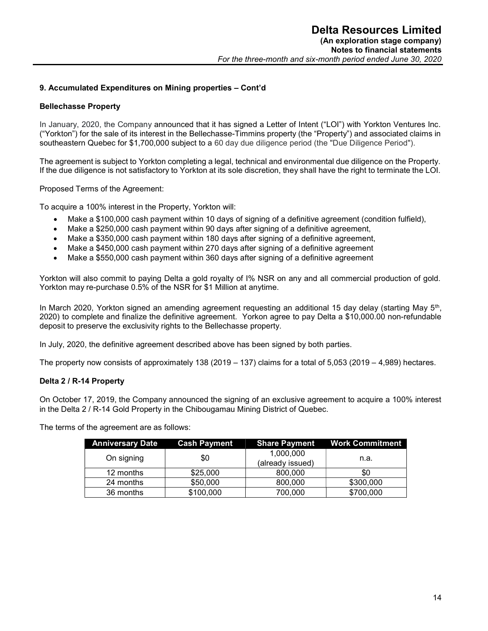# **9. Accumulated Expenditures on Mining properties – Cont'd**

#### **Bellechasse Property**

In January, 2020, the Company announced that it has signed a Letter of Intent ("LOI") with Yorkton Ventures Inc. ("Yorkton") for the sale of its interest in the Bellechasse-Timmins property (the "Property") and associated claims in southeastern Quebec for \$1,700,000 subject to a 60 day due diligence period (the "Due Diligence Period").

The agreement is subject to Yorkton completing a legal, technical and environmental due diligence on the Property. If the due diligence is not satisfactory to Yorkton at its sole discretion, they shall have the right to terminate the LOI.

Proposed Terms of the Agreement:

To acquire a 100% interest in the Property, Yorkton will:

- Make a \$100,000 cash payment within 10 days of signing of a definitive agreement (condition fulfield),
- Make a \$250,000 cash payment within 90 days after signing of a definitive agreement,
- Make a \$350,000 cash payment within 180 days after signing of a definitive agreement,
- Make a \$450,000 cash payment within 270 days after signing of a definitive agreement
- Make a \$550,000 cash payment within 360 days after signing of a definitive agreement

Yorkton will also commit to paying Delta a gold royalty of I% NSR on any and all commercial production of gold. Yorkton may re-purchase 0.5% of the NSR for \$1 Million at anytime.

In March 2020, Yorkton signed an amending agreement requesting an additional 15 day delay (starting May 5<sup>th</sup>, 2020) to complete and finalize the definitive agreement. Yorkon agree to pay Delta a \$10,000.00 non-refundable deposit to preserve the exclusivity rights to the Bellechasse property.

In July, 2020, the definitive agreement described above has been signed by both parties.

The property now consists of approximately 138 (2019 – 137) claims for a total of 5,053 (2019 – 4,989) hectares.

#### **Delta 2 / R-14 Property**

On October 17, 2019, the Company announced the signing of an exclusive agreement to acquire a 100% interest in the Delta 2 / R-14 Gold Property in the Chibougamau Mining District of Quebec.

The terms of the agreement are as follows:

| <b>Anniversary Date</b> | <b>Cash Payment</b> | <b>Share Payment</b>          | <b>Work Commitment</b> |
|-------------------------|---------------------|-------------------------------|------------------------|
| On signing              | \$0                 | 1,000,000<br>(already issued) | n.a.                   |
| 12 months               | \$25,000            | 800,000                       | \$0                    |
| 24 months               | \$50,000            | 800,000                       | \$300,000              |
| 36 months               | \$100,000           | 700,000                       | \$700,000              |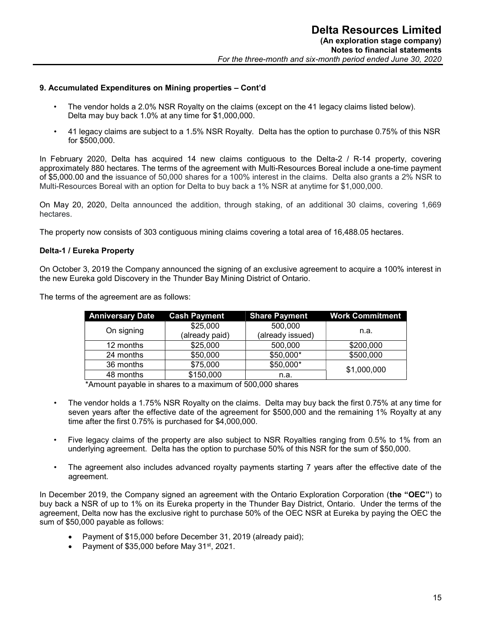#### **9. Accumulated Expenditures on Mining properties – Cont'd**

- The vendor holds a 2.0% NSR Royalty on the claims (except on the 41 legacy claims listed below). Delta may buy back 1.0% at any time for \$1,000,000.
- 41 legacy claims are subject to a 1.5% NSR Royalty. Delta has the option to purchase 0.75% of this NSR for \$500,000.

In February 2020, Delta has acquired 14 new claims contiguous to the Delta-2 / R-14 property, covering approximately 880 hectares. The terms of the agreement with Multi-Resources Boreal include a one-time payment of \$5,000.00 and the issuance of 50,000 shares for a 100% interest in the claims. Delta also grants a 2% NSR to Multi-Resources Boreal with an option for Delta to buy back a 1% NSR at anytime for \$1,000,000.

On May 20, 2020, Delta announced the addition, through staking, of an additional 30 claims, covering 1,669 hectares.

The property now consists of 303 contiguous mining claims covering a total area of 16,488.05 hectares.

## **Delta-1 / Eureka Property**

On October 3, 2019 the Company announced the signing of an exclusive agreement to acquire a 100% interest in the new Eureka gold Discovery in the Thunder Bay Mining District of Ontario.

| <b>Anniversary Date</b> | <b>Cash Payment</b> | <b>Share Payment</b> | <b>Work Commitment</b> |
|-------------------------|---------------------|----------------------|------------------------|
|                         | \$25,000            | 500,000              |                        |
| On signing              | (already paid)      | (already issued)     | n.a.                   |
| 12 months               | \$25,000            | 500,000              | \$200,000              |
| 24 months               | \$50,000            | \$50,000*            | \$500,000              |
| 36 months               | \$75,000            | \$50,000*            | \$1,000,000            |
| 48 months               | \$150,000           | n.a.                 |                        |

The terms of the agreement are as follows:

\*Amount payable in shares to a maximum of 500,000 shares

- The vendor holds a 1.75% NSR Royalty on the claims. Delta may buy back the first 0.75% at any time for seven years after the effective date of the agreement for \$500,000 and the remaining 1% Royalty at any time after the first 0.75% is purchased for \$4,000,000.
- Five legacy claims of the property are also subject to NSR Royalties ranging from 0.5% to 1% from an underlying agreement. Delta has the option to purchase 50% of this NSR for the sum of \$50,000.
- The agreement also includes advanced royalty payments starting 7 years after the effective date of the agreement.

In December 2019, the Company signed an agreement with the Ontario Exploration Corporation (**the "OEC"**) to buy back a NSR of up to 1% on its Eureka property in the Thunder Bay District, Ontario. Under the terms of the agreement, Delta now has the exclusive right to purchase 50% of the OEC NSR at Eureka by paying the OEC the sum of \$50,000 payable as follows:

- Payment of \$15,000 before December 31, 2019 (already paid);
- Payment of \$35,000 before May 31<sup>st</sup>, 2021.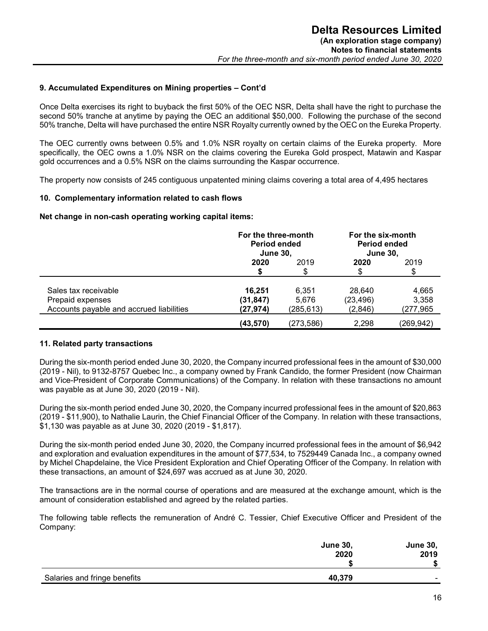#### **9. Accumulated Expenditures on Mining properties – Cont'd**

Once Delta exercises its right to buyback the first 50% of the OEC NSR, Delta shall have the right to purchase the second 50% tranche at anytime by paying the OEC an additional \$50,000. Following the purchase of the second 50% tranche, Delta will have purchased the entire NSR Royalty currently owned by the OEC on the Eureka Property.

The OEC currently owns between 0.5% and 1.0% NSR royalty on certain claims of the Eureka property. More specifically, the OEC owns a 1.0% NSR on the claims covering the Eureka Gold prospect, Matawin and Kaspar gold occurrences and a 0.5% NSR on the claims surrounding the Kaspar occurrence.

The property now consists of 245 contiguous unpatented mining claims covering a total area of 4,495 hectares

#### **10. Complementary information related to cash flows**

**Net change in non-cash operating working capital items:** 

|                                          | For the three-month<br><b>Period ended</b><br><b>June 30,</b> |            | For the six-month<br><b>Period ended</b><br><b>June 30,</b> |            |
|------------------------------------------|---------------------------------------------------------------|------------|-------------------------------------------------------------|------------|
|                                          | 2020                                                          | 2019       | 2020                                                        | 2019<br>\$ |
| Sales tax receivable                     | 16.251                                                        | 6.351      | 28.640                                                      | 4,665      |
| Prepaid expenses                         | (31, 847)                                                     | 5.676      | (23, 496)                                                   | 3,358      |
| Accounts payable and accrued liabilities | (27, 974)                                                     | (285,613)  | (2,846)                                                     | (277,965   |
|                                          | (43, 570)                                                     | (273, 586) | 2.298                                                       | (269.942)  |

#### **11. Related party transactions**

During the six-month period ended June 30, 2020, the Company incurred professional fees in the amount of \$30,000 (2019 - Nil), to 9132-8757 Quebec Inc., a company owned by Frank Candido, the former President (now Chairman and Vice-President of Corporate Communications) of the Company. In relation with these transactions no amount was payable as at June 30, 2020 (2019 - Nil).

During the six-month period ended June 30, 2020, the Company incurred professional fees in the amount of \$20,863 (2019 - \$11,900), to Nathalie Laurin, the Chief Financial Officer of the Company. In relation with these transactions, \$1,130 was payable as at June 30, 2020 (2019 - \$1,817).

During the six-month period ended June 30, 2020, the Company incurred professional fees in the amount of \$6,942 and exploration and evaluation expenditures in the amount of \$77,534, to 7529449 Canada Inc., a company owned by Michel Chapdelaine, the Vice President Exploration and Chief Operating Officer of the Company. In relation with these transactions, an amount of \$24,697 was accrued as at June 30, 2020.

The transactions are in the normal course of operations and are measured at the exchange amount, which is the amount of consideration established and agreed by the related parties.

The following table reflects the remuneration of André C. Tessier, Chief Executive Officer and President of the Company:

|                              | <b>June 30,</b> | <b>June 30,</b> |
|------------------------------|-----------------|-----------------|
|                              | 2020            | 2019            |
|                              |                 | \$              |
| Salaries and fringe benefits | 40,379          | -               |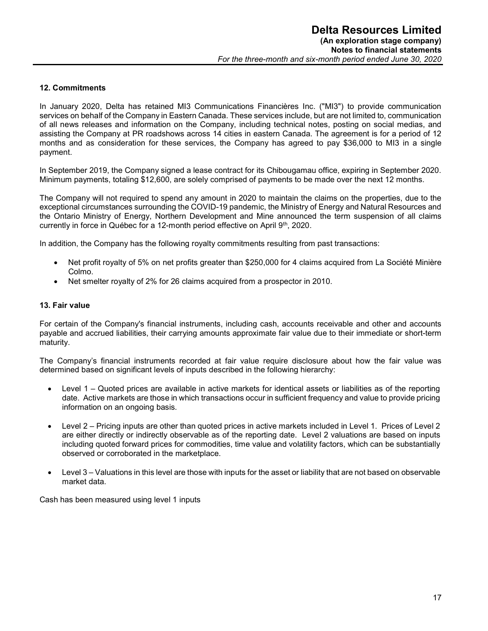# **12. Commitments**

In January 2020, Delta has retained MI3 Communications Financières Inc. ("MI3") to provide communication services on behalf of the Company in Eastern Canada. These services include, but are not limited to, communication of all news releases and information on the Company, including technical notes, posting on social medias, and assisting the Company at PR roadshows across 14 cities in eastern Canada. The agreement is for a period of 12 months and as consideration for these services, the Company has agreed to pay \$36,000 to MI3 in a single payment.

In September 2019, the Company signed a lease contract for its Chibougamau office, expiring in September 2020. Minimum payments, totaling \$12,600, are solely comprised of payments to be made over the next 12 months.

The Company will not required to spend any amount in 2020 to maintain the claims on the properties, due to the exceptional circumstances surrounding the COVID-19 pandemic, the Ministry of Energy and Natural Resources and the Ontario Ministry of Energy, Northern Development and Mine announced the term suspension of all claims currently in force in Québec for a 12-month period effective on April 9<sup>th</sup>, 2020.

In addition, the Company has the following royalty commitments resulting from past transactions:

- Net profit royalty of 5% on net profits greater than \$250,000 for 4 claims acquired from La Société Minière Colmo.
- Net smelter royalty of 2% for 26 claims acquired from a prospector in 2010.

#### **13. Fair value**

For certain of the Company's financial instruments, including cash, accounts receivable and other and accounts payable and accrued liabilities, their carrying amounts approximate fair value due to their immediate or short-term maturity.

The Company's financial instruments recorded at fair value require disclosure about how the fair value was determined based on significant levels of inputs described in the following hierarchy:

- Level 1 Quoted prices are available in active markets for identical assets or liabilities as of the reporting date. Active markets are those in which transactions occur in sufficient frequency and value to provide pricing information on an ongoing basis.
- Level 2 Pricing inputs are other than quoted prices in active markets included in Level 1. Prices of Level 2 are either directly or indirectly observable as of the reporting date. Level 2 valuations are based on inputs including quoted forward prices for commodities, time value and volatility factors, which can be substantially observed or corroborated in the marketplace.
- Level 3 Valuations in this level are those with inputs for the asset or liability that are not based on observable market data.

Cash has been measured using level 1 inputs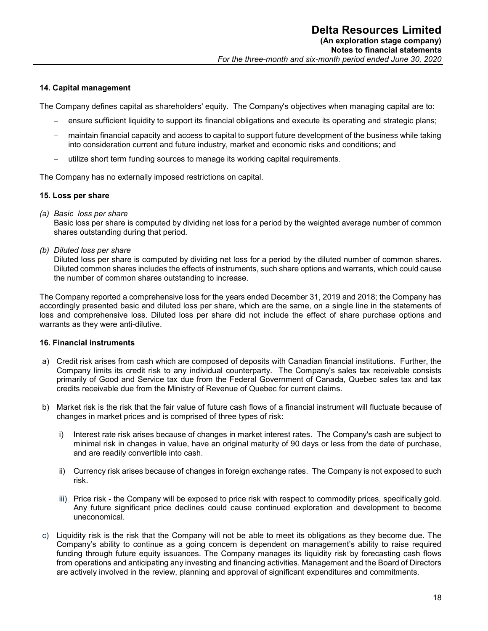#### **14. Capital management**

The Company defines capital as shareholders' equity. The Company's objectives when managing capital are to:

- ensure sufficient liquidity to support its financial obligations and execute its operating and strategic plans;
- maintain financial capacity and access to capital to support future development of the business while taking into consideration current and future industry, market and economic risks and conditions; and
- utilize short term funding sources to manage its working capital requirements.

The Company has no externally imposed restrictions on capital.

#### **15. Loss per share**

*(a) Basic loss per share* 

Basic loss per share is computed by dividing net loss for a period by the weighted average number of common shares outstanding during that period.

*(b) Diluted loss per share* 

Diluted loss per share is computed by dividing net loss for a period by the diluted number of common shares. Diluted common shares includes the effects of instruments, such share options and warrants, which could cause the number of common shares outstanding to increase.

The Company reported a comprehensive loss for the years ended December 31, 2019 and 2018; the Company has accordingly presented basic and diluted loss per share, which are the same, on a single line in the statements of loss and comprehensive loss. Diluted loss per share did not include the effect of share purchase options and warrants as they were anti-dilutive.

#### **16. Financial instruments**

- a) Credit risk arises from cash which are composed of deposits with Canadian financial institutions. Further, the Company limits its credit risk to any individual counterparty. The Company's sales tax receivable consists primarily of Good and Service tax due from the Federal Government of Canada, Quebec sales tax and tax credits receivable due from the Ministry of Revenue of Quebec for current claims.
- b) Market risk is the risk that the fair value of future cash flows of a financial instrument will fluctuate because of changes in market prices and is comprised of three types of risk:
	- i) Interest rate risk arises because of changes in market interest rates. The Company's cash are subject to minimal risk in changes in value, have an original maturity of 90 days or less from the date of purchase, and are readily convertible into cash.
	- ii) Currency risk arises because of changes in foreign exchange rates. The Company is not exposed to such risk.
	- iii) Price risk the Company will be exposed to price risk with respect to commodity prices, specifically gold. Any future significant price declines could cause continued exploration and development to become uneconomical.
- c) Liquidity risk is the risk that the Company will not be able to meet its obligations as they become due. The Company's ability to continue as a going concern is dependent on management's ability to raise required funding through future equity issuances. The Company manages its liquidity risk by forecasting cash flows from operations and anticipating any investing and financing activities. Management and the Board of Directors are actively involved in the review, planning and approval of significant expenditures and commitments.